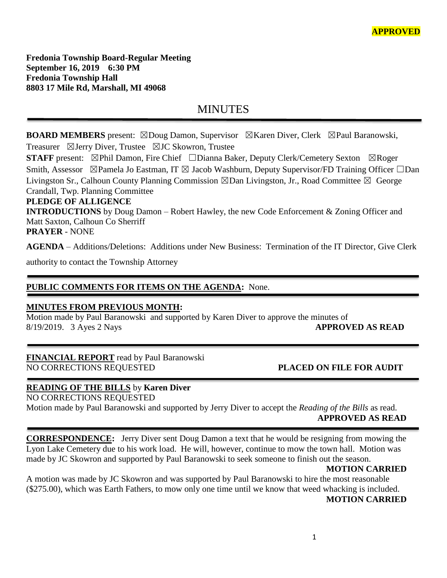**Fredonia Township Board-Regular Meeting September 16, 2019 6:30 PM Fredonia Township Hall 8803 17 Mile Rd, Marshall, MI 49068**

# MINUTES

**BOARD MEMBERS** present: ⊠Doug Damon, Supervisor ⊠Karen Diver, Clerk ⊠Paul Baranowski, Treasurer ☒Jerry Diver, Trustee ☒JC Skowron, Trustee

**STAFF** present: ⊠Phil Damon, Fire Chief □Dianna Baker, Deputy Clerk/Cemetery Sexton ⊠Roger Smith, Assessor ⊠Pamela Jo Eastman, IT ⊠ Jacob Washburn, Deputy Supervisor/FD Training Officer □Dan Livingston Sr., Calhoun County Planning Commission ☒Dan Livingston, Jr., Road Committee ☒ George Crandall, Twp. Planning Committee

#### **PLEDGE OF ALLIGENCE**

**INTRODUCTIONS** by Doug Damon – Robert Hawley, the new Code Enforcement & Zoning Officer and Matt Saxton, Calhoun Co Sherriff **PRAYER** - NONE

**AGENDA** – Additions/Deletions: Additions under New Business: Termination of the IT Director, Give Clerk

authority to contact the Township Attorney

# **PUBLIC COMMENTS FOR ITEMS ON THE AGENDA:** None.

#### **MINUTES FROM PREVIOUS MONTH:**

Motion made by Paul Baranowski and supported by Karen Diver to approve the minutes of 8/19/2019. 3 Ayes 2 Nays **APPROVED AS READ**

# **FINANCIAL REPORT** read by Paul Baranowski

# NO CORRECTIONS REQUESTED **PLACED ON FILE FOR AUDIT**

# **READING OF THE BILLS** by **Karen Diver**

NO CORRECTIONS REQUESTED

Motion made by Paul Baranowski and supported by Jerry Diver to accept the *Reading of the Bills* as read. **APPROVED AS READ**

**CORRESPONDENCE:** Jerry Diver sent Doug Damon a text that he would be resigning from mowing the Lyon Lake Cemetery due to his work load. He will, however, continue to mow the town hall. Motion was made by JC Skowron and supported by Paul Baranowski to seek someone to finish out the season.

#### **MOTION CARRIED**

A motion was made by JC Skowron and was supported by Paul Baranowski to hire the most reasonable (\$275.00), which was Earth Fathers, to mow only one time until we know that weed whacking is included. **MOTION CARRIED**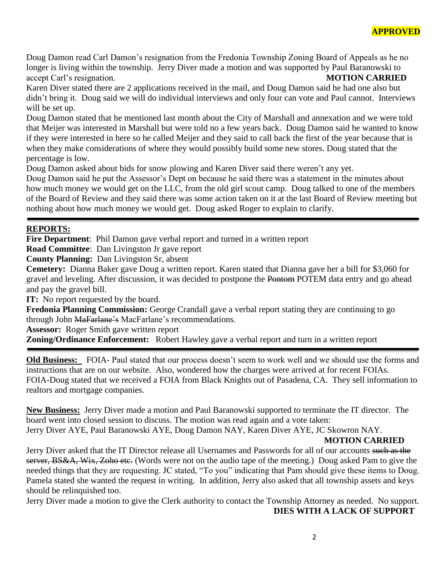Doug Damon read Carl Damon's resignation from the Fredonia Township Zoning Board of Appeals as he no longer is living within the township. Jerry Diver made a motion and was supported by Paul Baranowski to accept Carl's resignation. **MOTION CARRIED**

Karen Diver stated there are 2 applications received in the mail, and Doug Damon said he had one also but didn't bring it. Doug said we will do individual interviews and only four can vote and Paul cannot. Interviews will be set up.

Doug Damon stated that he mentioned last month about the City of Marshall and annexation and we were told that Meijer was interested in Marshall but were told no a few years back. Doug Damon said he wanted to know if they were interested in here so he called Meijer and they said to call back the first of the year because that is when they make considerations of where they would possibly build some new stores. Doug stated that the percentage is low.

Doug Damon asked about bids for snow plowing and Karen Diver said there weren't any yet.

Doug Damon said he put the Assessor's Dept on because he said there was a statement in the minutes about how much money we would get on the LLC, from the old girl scout camp. Doug talked to one of the members of the Board of Review and they said there was some action taken on it at the last Board of Review meeting but nothing about how much money we would get. Doug asked Roger to explain to clarify.

### **REPORTS:**

**Fire Department**: Phil Damon gave verbal report and turned in a written report

**Road Committee**: Dan Livingston Jr gave report

**County Planning:** Dan Livingston Sr, absent

**Cemetery:** Dianna Baker gave Doug a written report. Karen stated that Dianna gave her a bill for \$3,060 for gravel and leveling. After discussion, it was decided to postpone the Pontom POTEM data entry and go ahead and pay the gravel bill.

**IT:** No report requested by the board.

**Fredonia Planning Commission:** George Crandall gave a verbal report stating they are continuing to go through John MaFarlane's MacFarlane's recommendations.

**Assessor:** Roger Smith gave written report

**Zoning/Ordinance Enforcement:** Robert Hawley gave a verbal report and turn in a written report

**Old Business:** FOIA- Paul stated that our process doesn't seem to work well and we should use the forms and instructions that are on our website. Also, wondered how the charges were arrived at for recent FOIAs. FOIA-Doug stated that we received a FOIA from Black Knights out of Pasadena, CA. They sell information to realtors and mortgage companies.

**New Business:** Jerry Diver made a motion and Paul Baranowski supported to terminate the IT director. The board went into closed session to discuss. The motion was read again and a vote taken:

Jerry Diver AYE, Paul Baranowski AYE, Doug Damon NAY, Karen Diver AYE, JC Skowron NAY.

#### **MOTION CARRIED**

Jerry Diver asked that the IT Director release all Usernames and Passwords for all of our accounts such as the server, BS&A, Wix, Zoho etc. (Words were not on the audio tape of the meeting.) Doug asked Pam to give the needed things that they are requesting. JC stated, "To you" indicating that Pam should give these items to Doug. Pamela stated she wanted the request in writing. In addition, Jerry also asked that all township assets and keys should be relinquished too.

Jerry Diver made a motion to give the Clerk authority to contact the Township Attorney as needed. No support. **DIES WITH A LACK OF SUPPORT**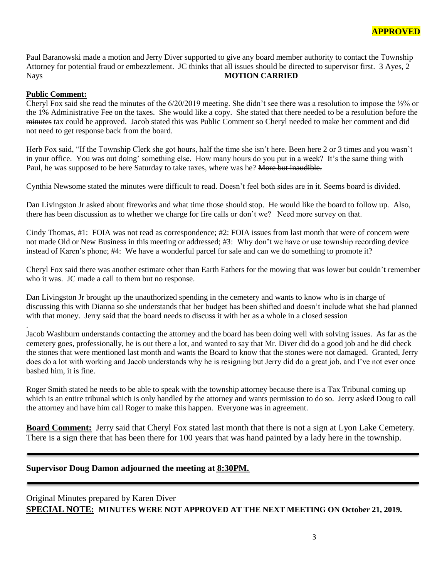Paul Baranowski made a motion and Jerry Diver supported to give any board member authority to contact the Township Attorney for potential fraud or embezzlement. JC thinks that all issues should be directed to supervisor first. 3 Ayes, 2 Nays **MOTION CARRIED**

#### **Public Comment:**

.

Cheryl Fox said she read the minutes of the  $6/20/2019$  meeting. She didn't see there was a resolution to impose the  $\frac{1}{2}\%$  or the 1% Administrative Fee on the taxes. She would like a copy. She stated that there needed to be a resolution before the minutes tax could be approved. Jacob stated this was Public Comment so Cheryl needed to make her comment and did not need to get response back from the board.

Herb Fox said, "If the Township Clerk she got hours, half the time she isn't here. Been here 2 or 3 times and you wasn't in your office. You was out doing' something else. How many hours do you put in a week? It's the same thing with Paul, he was supposed to be here Saturday to take taxes, where was he? More but inaudible.

Cynthia Newsome stated the minutes were difficult to read. Doesn't feel both sides are in it. Seems board is divided.

Dan Livingston Jr asked about fireworks and what time those should stop. He would like the board to follow up. Also, there has been discussion as to whether we charge for fire calls or don't we? Need more survey on that.

Cindy Thomas, #1: FOIA was not read as correspondence; #2: FOIA issues from last month that were of concern were not made Old or New Business in this meeting or addressed; #3: Why don't we have or use township recording device instead of Karen's phone; #4: We have a wonderful parcel for sale and can we do something to promote it?

Cheryl Fox said there was another estimate other than Earth Fathers for the mowing that was lower but couldn't remember who it was. JC made a call to them but no response.

Dan Livingston Jr brought up the unauthorized spending in the cemetery and wants to know who is in charge of discussing this with Dianna so she understands that her budget has been shifted and doesn't include what she had planned with that money. Jerry said that the board needs to discuss it with her as a whole in a closed session

Jacob Washburn understands contacting the attorney and the board has been doing well with solving issues. As far as the cemetery goes, professionally, he is out there a lot, and wanted to say that Mr. Diver did do a good job and he did check the stones that were mentioned last month and wants the Board to know that the stones were not damaged. Granted, Jerry does do a lot with working and Jacob understands why he is resigning but Jerry did do a great job, and I've not ever once bashed him, it is fine.

Roger Smith stated he needs to be able to speak with the township attorney because there is a Tax Tribunal coming up which is an entire tribunal which is only handled by the attorney and wants permission to do so. Jerry asked Doug to call the attorney and have him call Roger to make this happen. Everyone was in agreement.

**Board Comment:** Jerry said that Cheryl Fox stated last month that there is not a sign at Lyon Lake Cemetery. There is a sign there that has been there for 100 years that was hand painted by a lady here in the township.

#### **Supervisor Doug Damon adjourned the meeting at 8:30PM.**

Original Minutes prepared by Karen Diver **SPECIAL NOTE: MINUTES WERE NOT APPROVED AT THE NEXT MEETING ON October 21, 2019.**